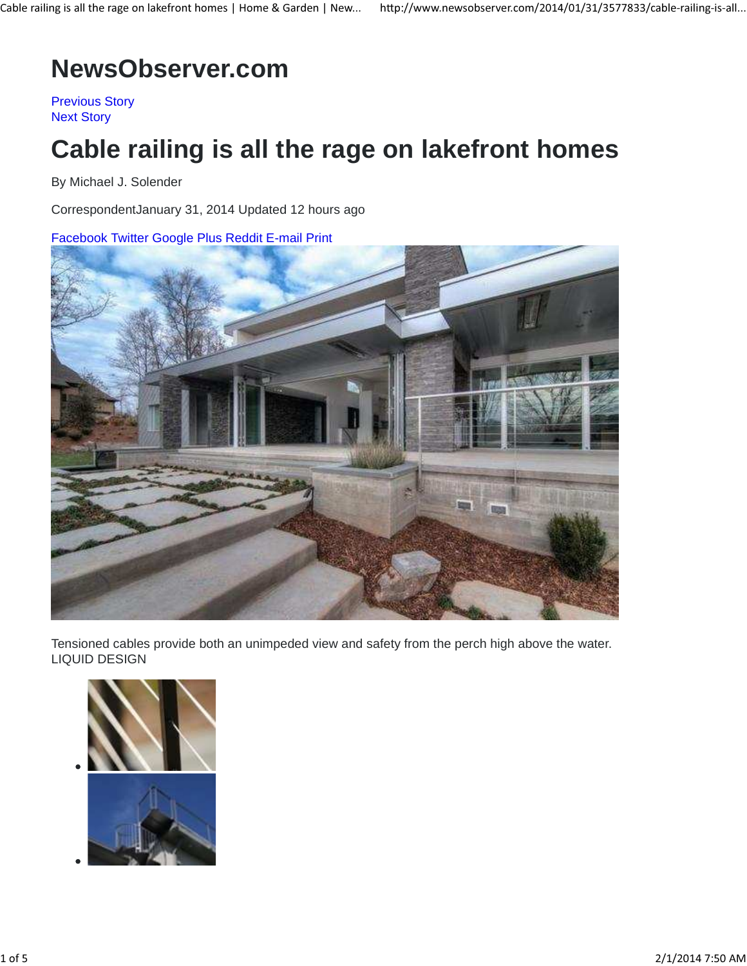## **NewsObserver.com**

Previous Story Next Story

# **Cable railing is all the rage on lakefront homes**

By Michael J. Solender

CorrespondentJanuary 31, 2014 Updated 12 hours ago

#### Facebook Twitter Google Plus Reddit E-mail Print



Tensioned cables provide both an unimpeded view and safety from the perch high above the water. LIQUID DESIGN

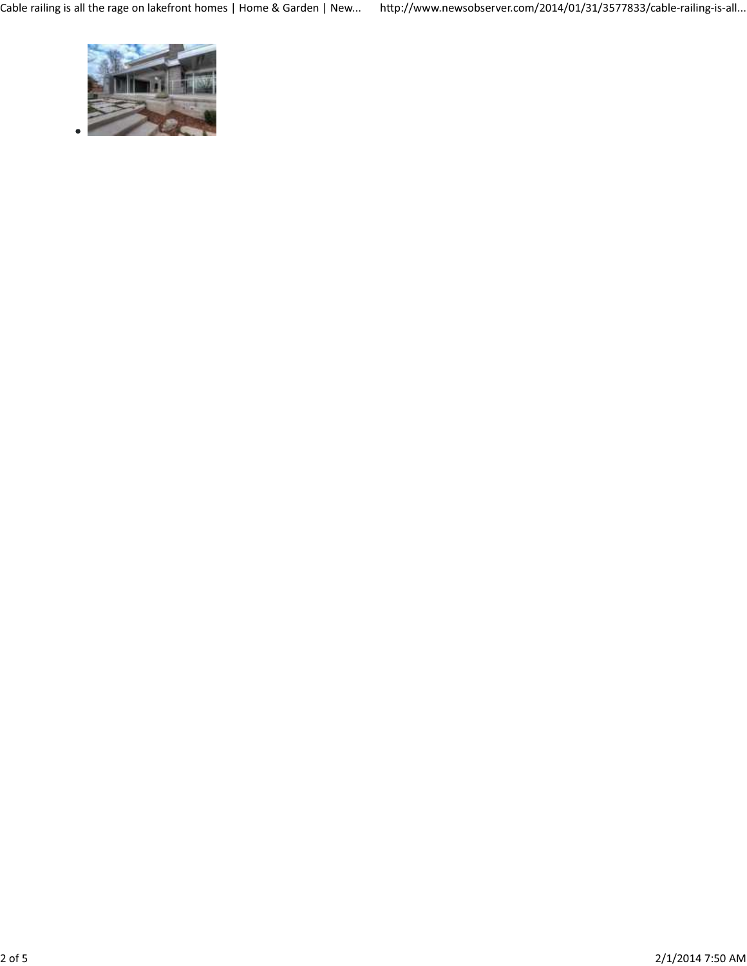Cable railing is all the rage on lakefront homes | Home & Garden | New... http://www.newsobserver.com/2014/01/31/3577833/cable-railing-is-all...

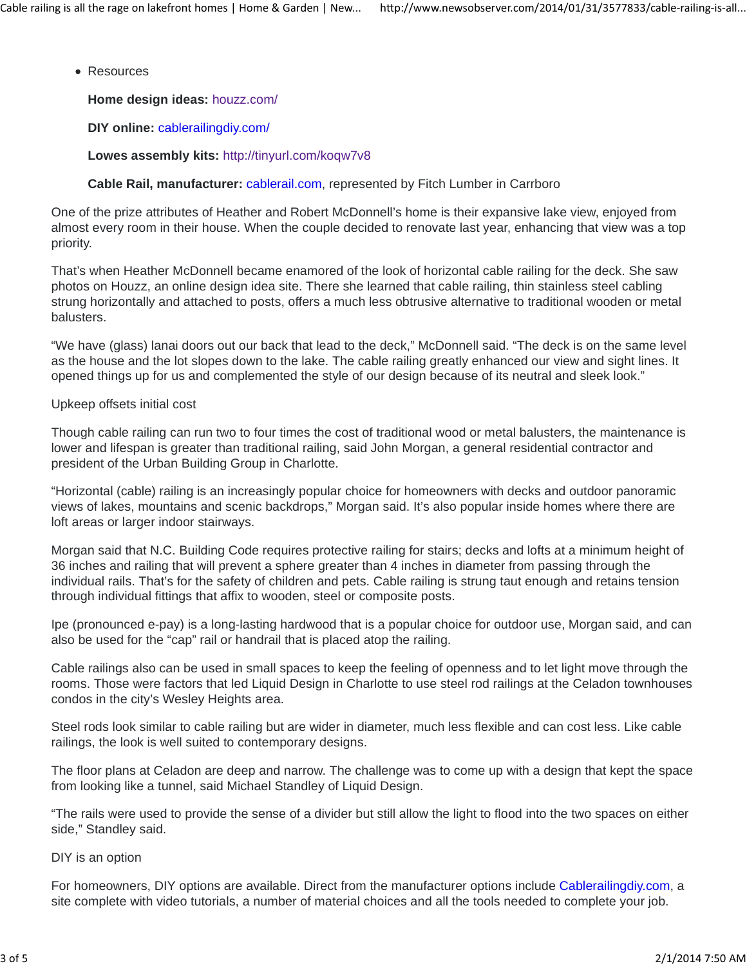Resources

**Home design ideas:** houzz.com/

**DIY online:** cablerailingdiy.com/

**Lowes assembly kits:** http://tinyurl.com/koqw7v8

#### **Cable Rail, manufacturer:** cablerail.com, represented by Fitch Lumber in Carrboro

One of the prize attributes of Heather and Robert McDonnell's home is their expansive lake view, enjoyed from almost every room in their house. When the couple decided to renovate last year, enhancing that view was a top priority.

That's when Heather McDonnell became enamored of the look of horizontal cable railing for the deck. She saw photos on Houzz, an online design idea site. There she learned that cable railing, thin stainless steel cabling strung horizontally and attached to posts, offers a much less obtrusive alternative to traditional wooden or metal balusters.

"We have (glass) lanai doors out our back that lead to the deck," McDonnell said. "The deck is on the same level as the house and the lot slopes down to the lake. The cable railing greatly enhanced our view and sight lines. It opened things up for us and complemented the style of our design because of its neutral and sleek look."

#### Upkeep offsets initial cost

Though cable railing can run two to four times the cost of traditional wood or metal balusters, the maintenance is lower and lifespan is greater than traditional railing, said John Morgan, a general residential contractor and president of the Urban Building Group in Charlotte.

"Horizontal (cable) railing is an increasingly popular choice for homeowners with decks and outdoor panoramic views of lakes, mountains and scenic backdrops," Morgan said. It's also popular inside homes where there are loft areas or larger indoor stairways.

Morgan said that N.C. Building Code requires protective railing for stairs; decks and lofts at a minimum height of 36 inches and railing that will prevent a sphere greater than 4 inches in diameter from passing through the individual rails. That's for the safety of children and pets. Cable railing is strung taut enough and retains tension through individual fittings that affix to wooden, steel or composite posts.

Ipe (pronounced e-pay) is a long-lasting hardwood that is a popular choice for outdoor use, Morgan said, and can also be used for the "cap" rail or handrail that is placed atop the railing.

Cable railings also can be used in small spaces to keep the feeling of openness and to let light move through the rooms. Those were factors that led Liquid Design in Charlotte to use steel rod railings at the Celadon townhouses condos in the city's Wesley Heights area.

Steel rods look similar to cable railing but are wider in diameter, much less flexible and can cost less. Like cable railings, the look is well suited to contemporary designs.

The floor plans at Celadon are deep and narrow. The challenge was to come up with a design that kept the space from looking like a tunnel, said Michael Standley of Liquid Design.

"The rails were used to provide the sense of a divider but still allow the light to flood into the two spaces on either side," Standley said.

#### DIY is an option

For homeowners, DIY options are available. Direct from the manufacturer options include Cablerailingdiy.com, a site complete with video tutorials, a number of material choices and all the tools needed to complete your job.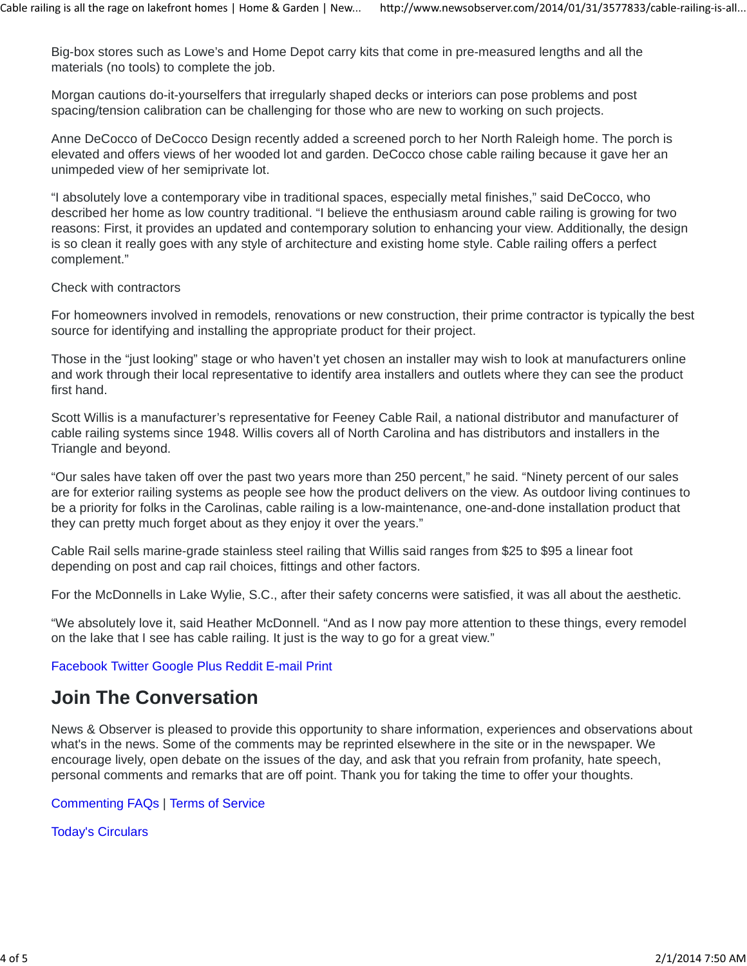Big-box stores such as Lowe's and Home Depot carry kits that come in pre-measured lengths and all the materials (no tools) to complete the job.

Morgan cautions do-it-yourselfers that irregularly shaped decks or interiors can pose problems and post spacing/tension calibration can be challenging for those who are new to working on such projects.

Anne DeCocco of DeCocco Design recently added a screened porch to her North Raleigh home. The porch is elevated and offers views of her wooded lot and garden. DeCocco chose cable railing because it gave her an unimpeded view of her semiprivate lot.

"I absolutely love a contemporary vibe in traditional spaces, especially metal finishes," said DeCocco, who described her home as low country traditional. "I believe the enthusiasm around cable railing is growing for two reasons: First, it provides an updated and contemporary solution to enhancing your view. Additionally, the design is so clean it really goes with any style of architecture and existing home style. Cable railing offers a perfect complement."

#### Check with contractors

For homeowners involved in remodels, renovations or new construction, their prime contractor is typically the best source for identifying and installing the appropriate product for their project.

Those in the "just looking" stage or who haven't yet chosen an installer may wish to look at manufacturers online and work through their local representative to identify area installers and outlets where they can see the product first hand.

Scott Willis is a manufacturer's representative for Feeney Cable Rail, a national distributor and manufacturer of cable railing systems since 1948. Willis covers all of North Carolina and has distributors and installers in the Triangle and beyond.

"Our sales have taken off over the past two years more than 250 percent," he said. "Ninety percent of our sales are for exterior railing systems as people see how the product delivers on the view. As outdoor living continues to be a priority for folks in the Carolinas, cable railing is a low-maintenance, one-and-done installation product that they can pretty much forget about as they enjoy it over the years."

Cable Rail sells marine-grade stainless steel railing that Willis said ranges from \$25 to \$95 a linear foot depending on post and cap rail choices, fittings and other factors.

For the McDonnells in Lake Wylie, S.C., after their safety concerns were satisfied, it was all about the aesthetic.

"We absolutely love it, said Heather McDonnell. "And as I now pay more attention to these things, every remodel on the lake that I see has cable railing. It just is the way to go for a great view."

#### Facebook Twitter Google Plus Reddit E-mail Print

### **Join The Conversation**

News & Observer is pleased to provide this opportunity to share information, experiences and observations about what's in the news. Some of the comments may be reprinted elsewhere in the site or in the newspaper. We encourage lively, open debate on the issues of the day, and ask that you refrain from profanity, hate speech, personal comments and remarks that are off point. Thank you for taking the time to offer your thoughts.

Commenting FAQs | Terms of Service

Today's Circulars